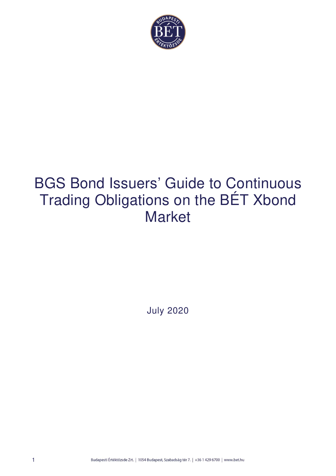

# BGS Bond Issuers' Guide to Continuous Trading Obligations on the BÉT Xbond Market

July 2020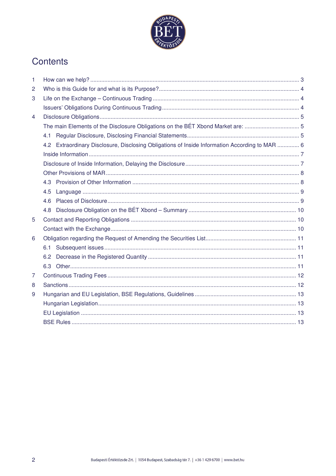

# Contents

| 1              |                                                                                                |  |  |  |
|----------------|------------------------------------------------------------------------------------------------|--|--|--|
| $\overline{c}$ |                                                                                                |  |  |  |
| 3              |                                                                                                |  |  |  |
|                |                                                                                                |  |  |  |
| $\overline{4}$ |                                                                                                |  |  |  |
|                | The main Elements of the Disclosure Obligations on the BÉT Xbond Market are:  5                |  |  |  |
|                | 4.1                                                                                            |  |  |  |
|                | 4.2 Extraordinary Disclosure, Disclosing Obligations of Inside Information According to MAR  6 |  |  |  |
|                |                                                                                                |  |  |  |
|                |                                                                                                |  |  |  |
|                |                                                                                                |  |  |  |
|                |                                                                                                |  |  |  |
|                | 4.5                                                                                            |  |  |  |
|                | 4.6                                                                                            |  |  |  |
|                | 4.8                                                                                            |  |  |  |
| 5              |                                                                                                |  |  |  |
|                |                                                                                                |  |  |  |
| 6              |                                                                                                |  |  |  |
|                | 6.1                                                                                            |  |  |  |
|                | 6.2                                                                                            |  |  |  |
|                | 6.3                                                                                            |  |  |  |
| 7              |                                                                                                |  |  |  |
| 8              |                                                                                                |  |  |  |
| 9              |                                                                                                |  |  |  |
|                |                                                                                                |  |  |  |
|                |                                                                                                |  |  |  |
|                |                                                                                                |  |  |  |
|                |                                                                                                |  |  |  |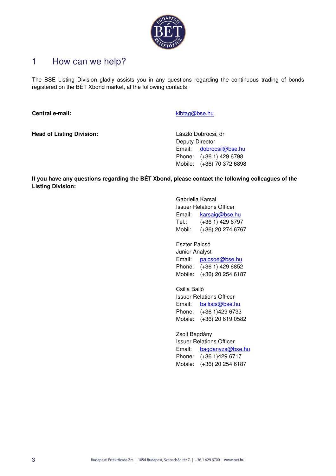

# 1 How can we help?

The BSE Listing Division gladly assists you in any questions regarding the continuous trading of bonds registered on the BÉT Xbond market, at the following contacts:

**Central e-mail: Central e-mail:** Kibtag@bse.hu

**Head of Listing Division:** László Dobrocsi, dr

Deputy Director Email: dobrocsil@bse.hu Phone: (+36 1) 429 6798 Mobile: (+36) 70 372 6898

**If you have any questions regarding the BÉT Xbond, please contact the following colleagues of the Listing Division:** 

> Gabriella Karsai Issuer Relations Officer Email: karsaig@bse.hu Tel.: (+36 1) 429 6797 Mobil: (+36) 20 274 6767

> Eszter Palcsó Junior Analyst Email: palcsoe@bse.hu Phone: (+36 1) 429 6852 Mobile: (+36) 20 254 6187

> Csilla Balló Issuer Relations Officer Email: ballocs@bse.hu Phone: (+36 1)429 6733 Mobile: (+36) 20 619 0582

Zsolt Bagdány Issuer Relations Officer Email: bagdanyzs@bse.hu Phone: (+36 1)429 6717 Mobile: (+36) 20 254 6187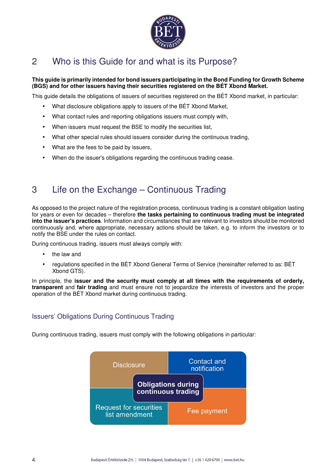

# 2 Who is this Guide for and what is its Purpose?

### **This guide is primarily intended for bond issuers participating in the Bond Funding for Growth Scheme (BGS) and for other issuers having their securities registered on the BÉT Xbond Market.**

This guide details the obligations of issuers of securities registered on the BÉT Xbond market, in particular:

- What disclosure obligations apply to issuers of the BÉT Xbond Market,
- What contact rules and reporting obligations issuers must comply with,
- When issuers must request the BSE to modify the securities list,
- What other special rules should issuers consider during the continuous trading,
- What are the fees to be paid by issuers,
- When do the issuer's obligations regarding the continuous trading cease.

# 3 Life on the Exchange – Continuous Trading

As opposed to the project nature of the registration process, continuous trading is a constant obligation lasting for years or even for decades – therefore **the tasks pertaining to continuous trading must be integrated into the issuer's practices**. Information and circumstances that are relevant to investors should be monitored continuously and, where appropriate, necessary actions should be taken, e.g. to inform the investors or to notify the BSE under the rules on contact.

During continuous trading, issuers must always comply with:

- the law and
- regulations specified in the BÉT Xbond General Terms of Service (hereinafter referred to as: BÉT Xbond GTS).

In principle, the **issuer and the security must comply at all times with the requirements of orderly, transparent** and **fair trading** and must ensure not to jeopardize the interests of investors and the proper operation of the BÉT Xbond market during continuous trading.

### Issuers' Obligations During Continuous Trading

During continuous trading, issuers must comply with the following obligations in particular:

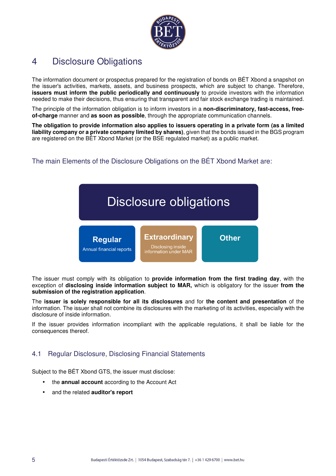

# 4 Disclosure Obligations

The information document or prospectus prepared for the registration of bonds on BÉT Xbond a snapshot on the issuer's activities, markets, assets, and business prospects, which are subject to change. Therefore, **issuers must inform the public periodically and continuously** to provide investors with the information needed to make their decisions, thus ensuring that transparent and fair stock exchange trading is maintained.

The principle of the information obligation is to inform investors in a **non-discriminatory, fast-access, freeof-charge** manner and **as soon as possible**, through the appropriate communication channels.

**The obligation to provide information also applies to issuers operating in a private form (as a limited liability company or a private company limited by shares)**, given that the bonds issued in the BGS program are registered on the BÉT Xbond Market (or the BSE regulated market) as a public market.

The main Elements of the Disclosure Obligations on the BÉT Xbond Market are:



The issuer must comply with its obligation to **provide information from the first trading day**, with the exception of **disclosing inside information subject to MAR,** which is obligatory for the issuer **from the submission of the registration application**.

The **issuer is solely responsible for all its disclosures** and for **the content and presentation** of the information. The issuer shall not combine its disclosures with the marketing of its activities, especially with the disclosure of inside information.

If the issuer provides information incompliant with the applicable regulations, it shall be liable for the consequences thereof.

# 4.1 Regular Disclosure, Disclosing Financial Statements

Subject to the BÉT Xbond GTS, the issuer must disclose:

- the **annual account** according to the Account Act
- and the related **auditor's report**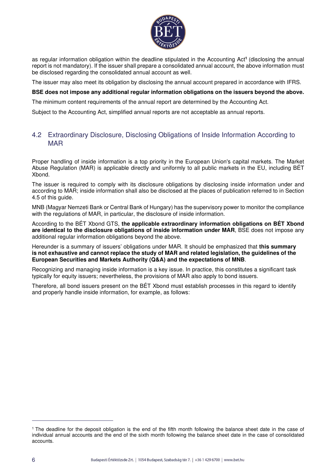

as regular information obligation within the deadline stipulated in the Accounting Act**<sup>1</sup>** (disclosing the annual report is not mandatory). If the issuer shall prepare a consolidated annual account, the above information must be disclosed regarding the consolidated annual account as well.

The issuer may also meet its obligation by disclosing the annual account prepared in accordance with IFRS.

### **BSE does not impose any additional regular information obligations on the issuers beyond the above.**

The minimum content requirements of the annual report are determined by the Accounting Act.

Subject to the Accounting Act, simplified annual reports are not acceptable as annual reports.

### 4.2 Extraordinary Disclosure, Disclosing Obligations of Inside Information According to MAR

Proper handling of inside information is a top priority in the European Union's capital markets. The Market Abuse Regulation (MAR) is applicable directly and uniformly to all public markets in the EU, including BÉT Xbond.

The issuer is required to comply with its disclosure obligations by disclosing inside information under and according to MAR; inside information shall also be disclosed at the places of publication referred to in Section 4.5 of this guide.

MNB (Magyar Nemzeti Bank or Central Bank of Hungary) has the supervisory power to monitor the compliance with the regulations of MAR, in particular, the disclosure of inside information.

According to the BÉT Xbond GTS, **the applicable extraordinary information obligations on BÉT Xbond are identical to the disclosure obligations of inside information under MAR**, BSE does not impose any additional regular information obligations beyond the above.

Hereunder is a summary of issuers' obligations under MAR. It should be emphasized that **this summary is not exhaustive and cannot replace the study of MAR and related legislation, the guidelines of the European Securities and Markets Authority (Q&A) and the expectations of MNB**.

Recognizing and managing inside information is a key issue. In practice, this constitutes a significant task typically for equity issuers; nevertheless, the provisions of MAR also apply to bond issuers.

Therefore, all bond issuers present on the BÉT Xbond must establish processes in this regard to identify and properly handle inside information, for example, as follows:

<sup>&</sup>lt;sup>1</sup> The deadline for the deposit obligation is the end of the fifth month following the balance sheet date in the case of individual annual accounts and the end of the sixth month following the balance sheet date in the case of consolidated accounts.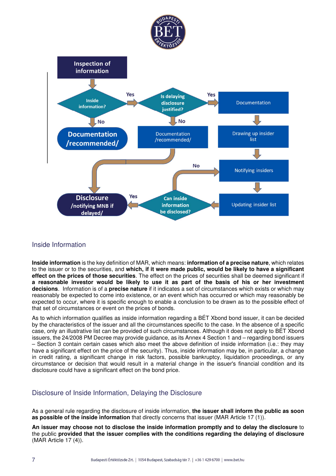



# Inside Information

**Inside information** is the key definition of MAR, which means: **information of a precise nature**, which relates to the issuer or to the securities, and **which, if it were made public, would be likely to have a significant effect on the prices of those securities**. The effect on the prices of securities shall be deemed significant if **a reasonable investor would be likely to use it as part of the basis of his or her investment decisions**. Information is of a **precise nature** if it indicates a set of circumstances which exists or which may reasonably be expected to come into existence, or an event which has occurred or which may reasonably be expected to occur, where it is specific enough to enable a conclusion to be drawn as to the possible effect of that set of circumstances or event on the prices of bonds.

As to which information qualifies as inside information regarding a BÉT Xbond bond issuer, it can be decided by the characteristics of the issuer and all the circumstances specific to the case. In the absence of a specific case, only an illustrative list can be provided of such circumstances. Although it does not apply to BÉT Xbond issuers, the 24/2008 PM Decree may provide guidance, as its Annex 4 Section 1 and – regarding bond issuers – Section 3 contain certain cases which also meet the above definition of inside information (i.e.: they may have a significant effect on the price of the security). Thus, inside information may be, in particular, a change in credit rating, a significant change in risk factors, possible bankruptcy, liquidation proceedings, or any circumstance or decision that would result in a material change in the issuer's financial condition and its disclosure could have a significant effect on the bond price.

### Disclosure of Inside Information, Delaying the Disclosure

As a general rule regarding the disclosure of inside information, **the issuer shall inform the public as soon as possible of the inside information** that directly concerns that issuer (MAR Article 17 (1)).

**An issuer may choose not to disclose the inside information promptly and to delay the disclosure** to the public **provided that the issuer complies with the conditions regarding the delaying of disclosure** (MAR Article 17 (4)).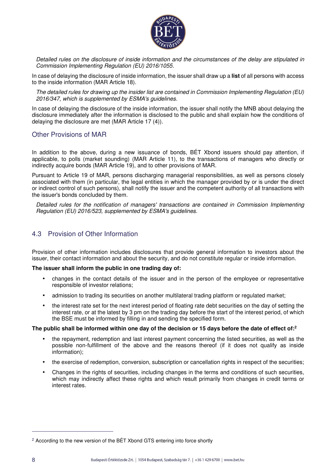![](_page_7_Picture_0.jpeg)

Detailed rules on the disclosure of inside information and the circumstances of the delay are stipulated in Commission Implementing Regulation (EU) 2016/1055.

In case of delaying the disclosure of inside information, the issuer shall draw up a **list** of all persons with access to the inside information (MAR Article 18).

The detailed rules for drawing up the insider list are contained in Commission Implementing Regulation (EU) 2016/347, which is supplemented by ESMA's guidelines.

In case of delaying the disclosure of the inside information, the issuer shall notify the MNB about delaying the disclosure immediately after the information is disclosed to the public and shall explain how the conditions of delaying the disclosure are met (MAR Article 17 (4)).

### Other Provisions of MAR

In addition to the above, during a new issuance of bonds, BET Xbond issuers should pay attention, if applicable, to polls (market sounding) (MAR Article 11), to the transactions of managers who directly or indirectly acquire bonds (MAR Article 19), and to other provisions of MAR.

Pursuant to Article 19 of MAR, persons discharging managerial responsibilities, as well as persons closely associated with them (in particular, the legal entities in which the manager provided by or is under the direct or indirect control of such persons), shall notify the issuer and the competent authority of all transactions with the issuer's bonds concluded by them.

Detailed rules for the notification of managers' transactions are contained in Commission Implementing Regulation (EU) 2016/523, supplemented by ESMA's guidelines.

### 4.3 Provision of Other Information

Provision of other information includes disclosures that provide general information to investors about the issuer, their contact information and about the security, and do not constitute regular or inside information.

#### **The issuer shall inform the public in one trading day of:**

- changes in the contact details of the issuer and in the person of the employee or representative responsible of investor relations;
- admission to trading its securities on another multilateral trading platform or regulated market;
- the interest rate set for the next interest period of floating rate debt securities on the day of setting the interest rate, or at the latest by 3 pm on the trading day before the start of the interest period, of which the BSE must be informed by filling in and sending the specified form.

#### **The public shall be informed within one day of the decision or 15 days before the date of effect of:<sup>2</sup>**

- the repayment, redemption and last interest payment concerning the listed securities, as well as the possible non-fulfillment of the above and the reasons thereof (if it does not qualify as inside information);
- the exercise of redemption, conversion, subscription or cancellation rights in respect of the securities;
- Changes in the rights of securities, including changes in the terms and conditions of such securities, which may indirectly affect these rights and which result primarily from changes in credit terms or interest rates.

<sup>&</sup>lt;sup>2</sup> According to the new version of the BÉT Xbond GTS entering into force shortly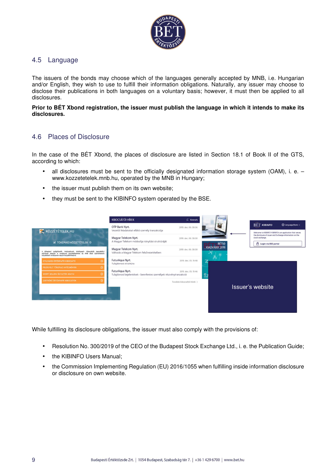![](_page_8_Picture_0.jpeg)

### 4.5 Language

The issuers of the bonds may choose which of the languages generally accepted by MNB, i.e. Hungarian and/or English, they wish to use to fulfill their information obligations. Naturally, any issuer may choose to disclose their publications in both languages on a voluntary basis; however, it must then be applied to all disclosures.

### **Prior to BÉT Xbond registration, the issuer must publish the language in which it intends to make its disclosures.**

### 4.6 Places of Disclosure

In the case of the BÉT Xbond, the places of disclosure are listed in Section 18.1 of Book II of the GTS, according to which:

- all disclosures must be sent to the officially designated information storage system (OAM), i. e. www.kozzetetelek.mnb.hu, operated by the MNB in Hungary;
- the issuer must publish them on its own website;
- they must be sent to the KIBINFO system operated by the BSE.

|                                                                                                                                                                                                       | <b>KIBOCSÁTÓI HÍREK</b>                                                                | $C$ Keresés                           |                                    |                                                                                                       |
|-------------------------------------------------------------------------------------------------------------------------------------------------------------------------------------------------------|----------------------------------------------------------------------------------------|---------------------------------------|------------------------------------|-------------------------------------------------------------------------------------------------------|
| KÖZZÉTÉTELEK.HU                                                                                                                                                                                       | OTP Bank Nyrt.<br>Vezetői feladatokat ellátó személy tranzakciója                      | 2019. dec. 06. 08:06                  |                                    | <b>BÉT KIBINFO</b><br>C Language/Nyelv -<br>Welcome to KIBINFO! KIBINFO is an application that serves |
| M TÖKEPIACI KÖZZÉTÉTELEK 2                                                                                                                                                                            | Magyar Telekom Nyrt.<br>A Magyar Telekom módosítja irányítási struktúráját             | 2019, dec. 06, 08:00                  | <b>BÉT50</b>                       | the disclosure of issuer and Exchange information on the<br>stock exchange.<br>A Login via BSE portal |
| A tőkeplaci szolgáltatók, intézmények, értékpapír- kibocsátók jogszabályi<br>előírások alapján a vonatkozó közzétételeiket az MNB által üzemeltetett<br>közzétételi rendszeren teszik hozzáférhetővé. | Magyar Telekom Nyrt.<br>Változás a Magyar Telekom felsővezetésében                     | 2019, dec. 06, 08:00                  | KIADVÁNY 2019<br>تأكلوا<br>Ō.<br>⇒ |                                                                                                       |
| $\odot$<br><b>NYILVÁNOS ÉRTÉKPAPÍR KIBOCSÁTÓ</b>                                                                                                                                                      | FuturAqua Nyrt.<br>Tulajdonosi struktúra                                               | 2019, dec. 05, 19:48                  |                                    |                                                                                                       |
| FELÜGYELT TÖKEPIACI INTÉZMÉNYEK<br>$\circ$<br>SHORT SELLING UGYLETEK ADATAI<br>$\odot$                                                                                                                | FuturAqua Nyrt.<br>Tulajdonosi bejelentések - bennfentes személyek részvénytranzakciói | 2019, dec. 05, 19:46<br>$\frac{6}{1}$ |                                    |                                                                                                       |
| ZÁRTKÖRÜ ÉRTÉKPAPÍR KIBOCSÁTÓK                                                                                                                                                                        |                                                                                        | További kibocsátói hírek >            |                                    | Issuer's website                                                                                      |
|                                                                                                                                                                                                       |                                                                                        |                                       |                                    |                                                                                                       |

While fulfilling its disclosure obligations, the issuer must also comply with the provisions of:

- Resolution No. 300/2019 of the CEO of the Budapest Stock Exchange Ltd., i. e. the Publication Guide;
- the KIBINFO Users Manual;
- the Commission Implementing Regulation (EU) 2016/1055 when fulfilling inside information disclosure or disclosure on own website.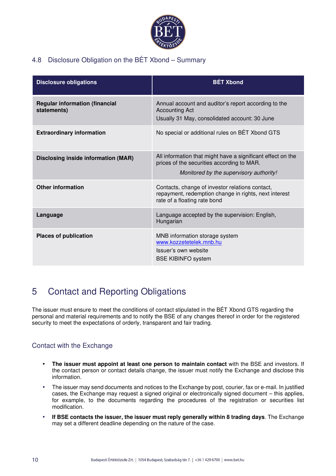![](_page_9_Picture_0.jpeg)

# 4.8 Disclosure Obligation on the BÉT Xbond – Summary

| <b>Disclosure obligations</b>                        | <b>BÉT Xbond</b>                                                                                                                                     |
|------------------------------------------------------|------------------------------------------------------------------------------------------------------------------------------------------------------|
| <b>Regular information (financial</b><br>statements) | Annual account and auditor's report according to the<br><b>Accounting Act</b><br>Usually 31 May, consolidated account: 30 June                       |
| <b>Extraordinary information</b>                     | No special or additional rules on BET Xbond GTS                                                                                                      |
| <b>Disclosing inside information (MAR)</b>           | All information that might have a significant effect on the<br>prices of the securities according to MAR.<br>Monitored by the supervisory authority! |
| <b>Other information</b>                             | Contacts, change of investor relations contact,<br>repayment, redemption change in rights, next interest<br>rate of a floating rate bond             |
| Language                                             | Language accepted by the supervision: English,<br>Hungarian                                                                                          |
| <b>Places of publication</b>                         | MNB information storage system<br>www.kozzetetelek.mnb.hu<br>Issuer's own website<br><b>BSE KIBINFO system</b>                                       |

# 5 Contact and Reporting Obligations

The issuer must ensure to meet the conditions of contact stipulated in the BÉT Xbond GTS regarding the personal and material requirements and to notify the BSE of any changes thereof in order for the registered security to meet the expectations of orderly, transparent and fair trading.

# Contact with the Exchange

- **The issuer must appoint at least one person to maintain contact** with the BSE and investors. If the contact person or contact details change, the issuer must notify the Exchange and disclose this information.
- The issuer may send documents and notices to the Exchange by post, courier, fax or e-mail. In justified cases, the Exchange may request a signed original or electronically signed document – this applies, for example, to the documents regarding the procedures of the registration or securities list modification.
- **If BSE contacts the issuer, the issuer must reply generally within 8 trading days**. The Exchange may set a different deadline depending on the nature of the case.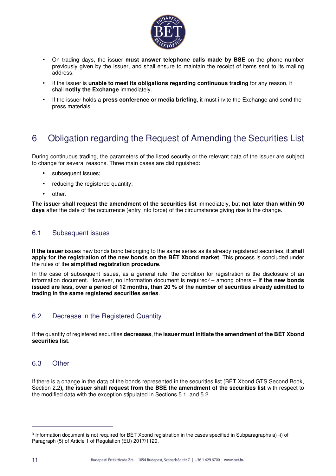![](_page_10_Picture_0.jpeg)

- On trading days, the issuer **must answer telephone calls made by BSE** on the phone number previously given by the issuer, and shall ensure to maintain the receipt of items sent to its mailing address.
- If the issuer is **unable to meet its obligations regarding continuous trading** for any reason, it shall **notify the Exchange** immediately.
- If the issuer holds a **press conference or media briefing**, it must invite the Exchange and send the press materials.

# 6 Obligation regarding the Request of Amending the Securities List

During continuous trading, the parameters of the listed security or the relevant data of the issuer are subject to change for several reasons. Three main cases are distinguished:

- subsequent issues;
- reducing the registered quantity;
- other.

**The issuer shall request the amendment of the securities list** immediately, but **not later than within 90 days** after the date of the occurrence (entry into force) of the circumstance giving rise to the change.

### 6.1 Subsequent issues

**If the issuer** issues new bonds bond belonging to the same series as its already registered securities, **it shall apply for the registration of the new bonds on the BÉT Xbond market**. This process is concluded under the rules of the **simplified registration procedure**.

In the case of subsequent issues, as a general rule, the condition for registration is the disclosure of an information document. However, no information document is required<sup>3</sup> – among others – **if the new bonds issued are less, over a period of 12 months, than 20 % of the number of securities already admitted to trading in the same registered securities series**.

### 6.2 Decrease in the Registered Quantity

If the quantity of registered securities **decreases**, the **issuer must initiate the amendment of the BÉT Xbond securities list**.

### 6.3 Other

If there is a change in the data of the bonds represented in the securities list (BÉT Xbond GTS Second Book, Section 2.2**), the issuer shall request from the BSE the amendment of the securities list** with respect to the modified data with the exception stipulated in Sections 5.1. and 5.2.

<sup>3</sup> Information document is not required for BÉT Xbond registration in the cases specified in Subparagraphs a) -i) of Paragraph (5) of Article 1 of Regulation (EU) 2017/1129.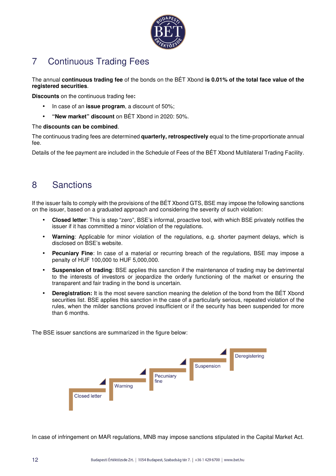![](_page_11_Picture_0.jpeg)

# 7 Continuous Trading Fees

The annual **continuous trading fee** of the bonds on the BÉT Xbond **is 0.01% of the total face value of the registered securities**.

**Discounts** on the continuous trading fee**:** 

- In case of an **issue program**, a discount of 50%;
- **"New market" discount** on BÉT Xbond in 2020: 50%.

### The **discounts can be combined**.

The continuous trading fees are determined **quarterly, retrospectively** equal to the time-proportionate annual fee.

Details of the fee payment are included in the Schedule of Fees of the BÉT Xbond Multilateral Trading Facility.

# 8 Sanctions

If the issuer fails to comply with the provisions of the BÉT Xbond GTS, BSE may impose the following sanctions on the issuer, based on a graduated approach and considering the severity of such violation:

- **Closed letter**: This is step "zero", BSE's informal, proactive tool, with which BSE privately notifies the issuer if it has committed a minor violation of the regulations.
- **Warning**: Applicable for minor violation of the regulations, e.g. shorter payment delays, which is disclosed on BSE's website.
- **Pecuniary Fine**: In case of a material or recurring breach of the regulations, BSE may impose a penalty of HUF 100,000 to HUF 5,000,000.
- **Suspension of trading**: BSE applies this sanction if the maintenance of trading may be detrimental to the interests of investors or jeopardize the orderly functioning of the market or ensuring the transparent and fair trading in the bond is uncertain.
- **Deregistration:** It is the most severe sanction meaning the deletion of the bond from the BÉT Xbond securities list. BSE applies this sanction in the case of a particularly serious, repeated violation of the rules, when the milder sanctions proved insufficient or if the security has been suspended for more than 6 months.

The BSE issuer sanctions are summarized in the figure below:

![](_page_11_Figure_17.jpeg)

In case of infringement on MAR regulations, MNB may impose sanctions stipulated in the Capital Market Act.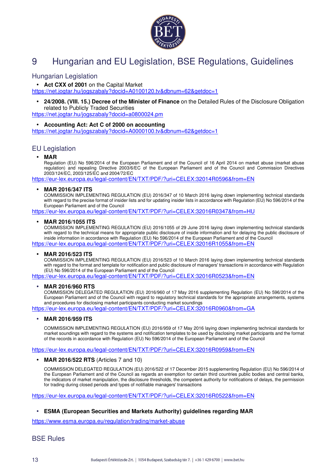![](_page_12_Picture_0.jpeg)

# 9 Hungarian and EU Legislation, BSE Regulations, Guidelines

### Hungarian Legislation

### • **Act CXX of 2001** on the Capital Market

https://net.jogtar.hu/jogszabaly?docid=A0100120.tv&dbnum=62&getdoc=1

• **24/2008. (VIII. 15.) Decree of the Minister of Finance** on the Detailed Rules of the Disclosure Obligation related to Publicly Traded Securities

https://net.jogtar.hu/jogszabaly?docid=a0800024.pm

### • **Accounting Act: Act C of 2000 on accounting**

https://net.jogtar.hu/jogszabaly?docid=A0000100.tv&dbnum=62&getdoc=1

### EU Legislation

• **MAR**

Regulation (EU) No 596/2014 of the European Parliament and of the Council of 16 April 2014 on market abuse (market abuse regulation) and repealing Directive 2003/6/EC of the European Parliament and of the Council and Commission Directives 2003/124/EC, 2003/125/EC and 2004/72/EC

https://eur-lex.europa.eu/legal-content/EN/TXT/PDF/?uri=CELEX:32014R0596&from=EN

#### • **MAR 2016/347 ITS**

COMMISSION IMPLEMENTING REGULATION (EU) 2016/347 of 10 March 2016 laying down implementing technical standards with regard to the precise format of insider lists and for updating insider lists in accordance with Regulation (EU) No 596/2014 of the European Parliament and of the Council

https://eur-lex.europa.eu/legal-content/EN/TXT/PDF/?uri=CELEX:32016R0347&from=HU

#### • **MAR 2016/1055 ITS**

COMMISSION IMPLEMENTING REGULATION (EU) 2016/1055 of 29 June 2016 laying down implementing technical standards with regard to the technical means for appropriate public disclosure of inside information and for delaying the public disclosure of inside information in accordance with Regulation (EU) No 596/2014 of the European Parliament and of the Council

https://eur-lex.europa.eu/legal-content/EN/TXT/PDF/?uri=CELEX:32016R1055&from=EN

#### • **MAR 2016/523 ITS**

COMMISSION IMPLEMENTING REGULATION (EU) 2016/523 of 10 March 2016 laying down implementing technical standards with regard to the format and template for notification and public disclosure of managers' transactions in accordance with Regulation (EU) No 596/2014 of the European Parliament and of the Council

https://eur-lex.europa.eu/legal-content/EN/TXT/PDF/?uri=CELEX:32016R0523&from=EN

#### • **MAR 2016/960 RTS**

COMMISSION DELEGATED REGULATION (EU) 2016/960 of 17 May 2016 supplementing Regulation (EU) No 596/2014 of the European Parliament and of the Council with regard to regulatory technical standards for the appropriate arrangements, systems and procedures for disclosing market participants conducting market soundings

https://eur-lex.europa.eu/legal-content/EN/TXT/PDF/?uri=CELEX:32016R0960&from=GA

#### • **MAR 2016/959 ITS**

COMMISSION IMPLEMENTING REGULATION (EU) 2016/959 of 17 May 2016 laying down implementing technical standards for market soundings with regard to the systems and notification templates to be used by disclosing market participants and the format of the records in accordance with Regulation (EU) No 596/2014 of the European Parliament and of the Council

#### https://eur-lex.europa.eu/legal-content/EN/TXT/PDF/?uri=CELEX:32016R0959&from=EN

#### • **MAR 2016/522 RTS** (Articles 7 and 10)

COMMISSION DELEGATED REGULATION (EU) 2016/522 of 17 December 2015 supplementing Regulation (EU) No 596/2014 of the European Parliament and of the Council as regards an exemption for certain third countries public bodies and central banks, the indicators of market manipulation, the disclosure thresholds, the competent authority for notifications of delays, the permission for trading during closed periods and types of notifiable managers' transactions

https://eur-lex.europa.eu/legal-content/EN/TXT/PDF/?uri=CELEX:32016R0522&from=EN

#### • **ESMA (European Securities and Markets Authority) guidelines regarding MAR**

https://www.esma.europa.eu/regulation/trading/market-abuse

BSE Rules